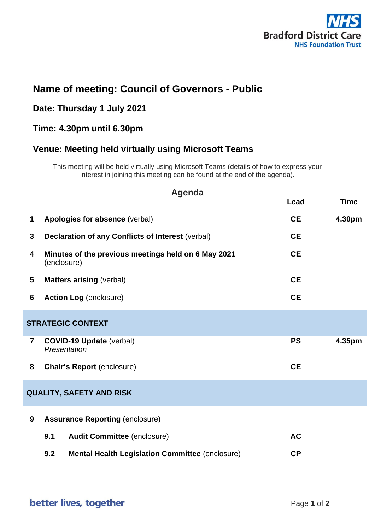

# **Name of meeting: Council of Governors - Public**

#### **Date: Thursday 1 July 2021**

#### **Time: 4.30pm until 6.30pm**

## **Venue: Meeting held virtually using Microsoft Teams**

This meeting will be held virtually using Microsoft Teams (details of how to express your interest in joining this meeting can be found at the end of the agenda).

| <b>Agenda</b>                   |                                                                    |           |             |  |  |  |  |
|---------------------------------|--------------------------------------------------------------------|-----------|-------------|--|--|--|--|
|                                 |                                                                    | Lead      | <b>Time</b> |  |  |  |  |
| $\mathbf 1$                     | Apologies for absence (verbal)                                     | <b>CE</b> | 4.30pm      |  |  |  |  |
| 3                               | <b>Declaration of any Conflicts of Interest (verbal)</b>           | <b>CE</b> |             |  |  |  |  |
| 4                               | Minutes of the previous meetings held on 6 May 2021<br>(enclosure) | <b>CE</b> |             |  |  |  |  |
| 5                               | <b>Matters arising (verbal)</b>                                    | <b>CE</b> |             |  |  |  |  |
| 6                               | <b>Action Log (enclosure)</b>                                      | <b>CE</b> |             |  |  |  |  |
| <b>STRATEGIC CONTEXT</b>        |                                                                    |           |             |  |  |  |  |
| $\overline{7}$                  | <b>COVID-19 Update (verbal)</b><br>Presentation                    | <b>PS</b> | 4.35pm      |  |  |  |  |
| 8                               | <b>Chair's Report (enclosure)</b>                                  | <b>CE</b> |             |  |  |  |  |
| <b>QUALITY, SAFETY AND RISK</b> |                                                                    |           |             |  |  |  |  |
| 9                               | <b>Assurance Reporting (enclosure)</b>                             |           |             |  |  |  |  |
|                                 | 9.1<br><b>Audit Committee (enclosure)</b>                          | <b>AC</b> |             |  |  |  |  |
|                                 | 9.2<br><b>Mental Health Legislation Committee (enclosure)</b>      | <b>CP</b> |             |  |  |  |  |